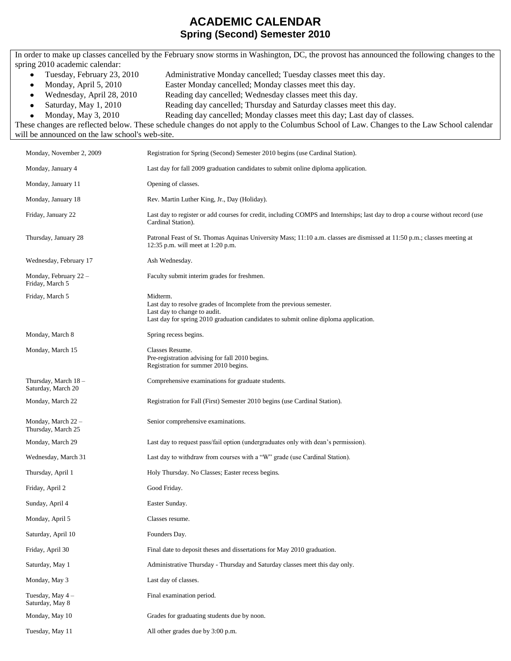## **ACADEMIC CALENDAR Spring (Second) Semester 2010**

In order to make up classes cancelled by the February snow storms in Washington, DC, the provost has announced the following changes to the spring 2010 academic calendar:

- Tuesday, February 23, 2010 Administrative Monday cancelled; Tuesday classes meet this day.  $\bullet$
- Monday, April 5, 2010 Easter Monday cancelled; Monday classes meet this day.  $\bullet$
- Wednesday, April 28, 2010 Reading day cancelled; Wednesday classes meet this day.  $\bullet$

 $\bullet$ 

- Saturday, May 1, 2010 Reading day cancelled; Thursday and Saturday classes meet this day.  $\bullet$ 
	- Monday, May 3, 2010 Reading day cancelled; Monday classes meet this day; Last day of classes.

These changes are reflected below. These schedule changes do not apply to the Columbus School of Law. Changes to the Law School calendar will be announced on the law school's web-site.

| Monday, November 2, 2009                  | Registration for Spring (Second) Semester 2010 begins (use Cardinal Station).                                                                                                                            |
|-------------------------------------------|----------------------------------------------------------------------------------------------------------------------------------------------------------------------------------------------------------|
| Monday, January 4                         | Last day for fall 2009 graduation candidates to submit online diploma application.                                                                                                                       |
| Monday, January 11                        | Opening of classes.                                                                                                                                                                                      |
| Monday, January 18                        | Rev. Martin Luther King, Jr., Day (Holiday).                                                                                                                                                             |
| Friday, January 22                        | Last day to register or add courses for credit, including COMPS and Internships; last day to drop a course without record (use<br>Cardinal Station).                                                     |
| Thursday, January 28                      | Patronal Feast of St. Thomas Aquinas University Mass; 11:10 a.m. classes are dismissed at 11:50 p.m.; classes meeting at<br>12:35 p.m. will meet at 1:20 p.m.                                            |
| Wednesday, February 17                    | Ash Wednesday.                                                                                                                                                                                           |
| Monday, February 22 -<br>Friday, March 5  | Faculty submit interim grades for freshmen.                                                                                                                                                              |
| Friday, March 5                           | Midterm.<br>Last day to resolve grades of Incomplete from the previous semester.<br>Last day to change to audit.<br>Last day for spring 2010 graduation candidates to submit online diploma application. |
| Monday, March 8                           | Spring recess begins.                                                                                                                                                                                    |
| Monday, March 15                          | Classes Resume.<br>Pre-registration advising for fall 2010 begins.<br>Registration for summer 2010 begins.                                                                                               |
| Thursday, March 18-<br>Saturday, March 20 | Comprehensive examinations for graduate students.                                                                                                                                                        |
| Monday, March 22                          | Registration for Fall (First) Semester 2010 begins (use Cardinal Station).                                                                                                                               |
| Monday, March 22 -<br>Thursday, March 25  | Senior comprehensive examinations.                                                                                                                                                                       |
| Monday, March 29                          | Last day to request pass/fail option (undergraduates only with dean's permission).                                                                                                                       |
| Wednesday, March 31                       | Last day to withdraw from courses with a "W" grade (use Cardinal Station).                                                                                                                               |
| Thursday, April 1                         | Holy Thursday. No Classes; Easter recess begins.                                                                                                                                                         |
| Friday, April 2                           | Good Friday.                                                                                                                                                                                             |
| Sunday, April 4                           | Easter Sunday.                                                                                                                                                                                           |
| Monday, April 5                           | Classes resume.                                                                                                                                                                                          |
| Saturday, April 10                        | Founders Day.                                                                                                                                                                                            |
| Friday, April 30                          | Final date to deposit theses and dissertations for May 2010 graduation.                                                                                                                                  |
| Saturday, May 1                           | Administrative Thursday - Thursday and Saturday classes meet this day only.                                                                                                                              |
| Monday, May 3                             | Last day of classes.                                                                                                                                                                                     |
| Tuesday, May 4-<br>Saturday, May 8        | Final examination period.                                                                                                                                                                                |
| Monday, May 10                            | Grades for graduating students due by noon.                                                                                                                                                              |
| Tuesday, May 11                           | All other grades due by 3:00 p.m.                                                                                                                                                                        |